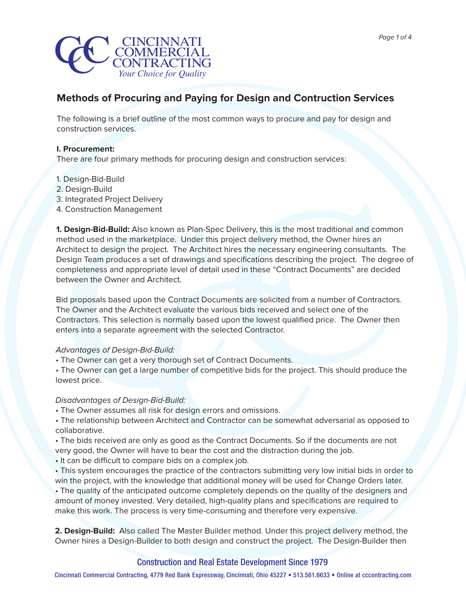

# **Methods of Procuring and Paying for Design and Contruction Services**

The following is a brief outline of the most common ways to procure and pay for design and construction services.

# **I. Procurement:**

There are four primary methods for procuring design and construction services:

- 1. Design-Bid-Build
- 2. Design-Build
- 3. Integrated Project Delivery
- 4. Construction Management

**1. Design-Bid-Build:** Also known as Plan-Spec Delivery, this is the most traditional and common method used in the marketplace. Under this project delivery method, the Owner hires an Architect to design the project. The Architect hires the necessary engineering consultants. The Design Team produces a set of drawings and specifications describing the project. The degree of completeness and appropriate level of detail used in these "Contract Documents" are decided between the Owner and Architect.

Bid proposals based upon the Contract Documents are solicited from a number of Contractors. The Owner and the Architect evaluate the various bids received and select one of the Contractors. This selection is normally based upon the lowest qualified price. The Owner then enters into a separate agreement with the selected Contractor.

### Advantages of Design-Bid-Build:

• The Owner can get a very thorough set of Contract Documents.

• The Owner can get a large number of competitive bids for the project. This should produce the lowest price.

### Disadvantages of Design-Bid-Build:

- The Owner assumes all risk for design errors and omissions.
- The relationship between Architect and Contractor can be somewhat adversarial as opposed to collaborative.
- The bids received are only as good as the Contract Documents. So if the documents are not
- very good, the Owner will have to bear the cost and the distraction during the job.
- It can be difficult to compare bids on a complex job.
- This system encourages the practice of the contractors submitting very low initial bids in order to win the project, with the knowledge that additional money will be used for Change Orders later.

• The quality of the anticipated outcome completely depends on the quality of the designers and amount of money invested. Very detailed, high-quality plans and specifications are required to make this work. The process is very time-consuming and therefore very expensive.

**2. Design-Build:** Also called The Master Builder method. Under this project delivery method, the Owner hires a Design-Builder to both design and construct the project. The Design-Builder then

# Construction and Real Estate Development Since 1979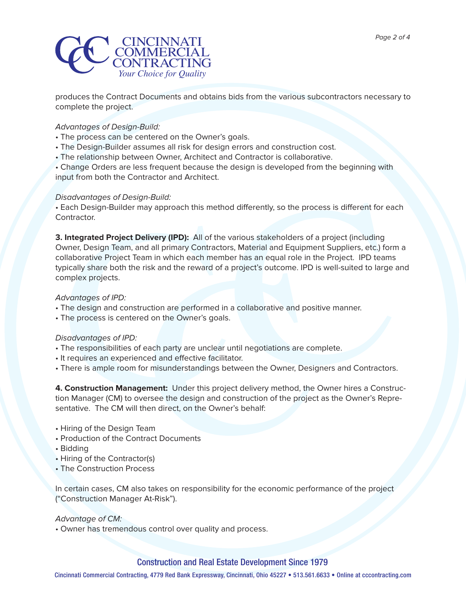

produces the Contract Documents and obtains bids from the various subcontractors necessary to complete the project.

# Advantages of Design-Build:

- The process can be centered on the Owner's goals.
- The Design-Builder assumes all risk for design errors and construction cost.
- The relationship between Owner, Architect and Contractor is collaborative.

• Change Orders are less frequent because the design is developed from the beginning with input from both the Contractor and Architect.

# Disadvantages of Design-Build:

• Each Design-Builder may approach this method differently, so the process is different for each Contractor.

**3. Integrated Project Delivery (IPD):** All of the various stakeholders of a project (including Owner, Design Team, and all primary Contractors, Material and Equipment Suppliers, etc.) form a collaborative Project Team in which each member has an equal role in the Project. IPD teams typically share both the risk and the reward of a project's outcome. IPD is well-suited to large and complex projects.

# Advantages of IPD:

- The design and construction are performed in a collaborative and positive manner.
- The process is centered on the Owner's goals.

# Disadvantages of IPD:

- The responsibilities of each party are unclear until negotiations are complete.
- It requires an experienced and effective facilitator.
- There is ample room for misunderstandings between the Owner, Designers and Contractors.

**4. Construction Management:** Under this project delivery method, the Owner hires a Construction Manager (CM) to oversee the design and construction of the project as the Owner's Representative. The CM will then direct, on the Owner's behalf:

- Hiring of the Design Team
- Production of the Contract Documents
- Bidding
- Hiring of the Contractor(s)
- The Construction Process

In certain cases, CM also takes on responsibility for the economic performance of the project ("Construction Manager At-Risk").

### Advantage of CM:

• Owner has tremendous control over quality and process.

# Construction and Real Estate Development Since 1979

Cincinnati Commercial Contracting, 4779 Red Bank Expressway, Cincinnati, Ohio 45227 • 513.561.6633 • Online at cccontracting.com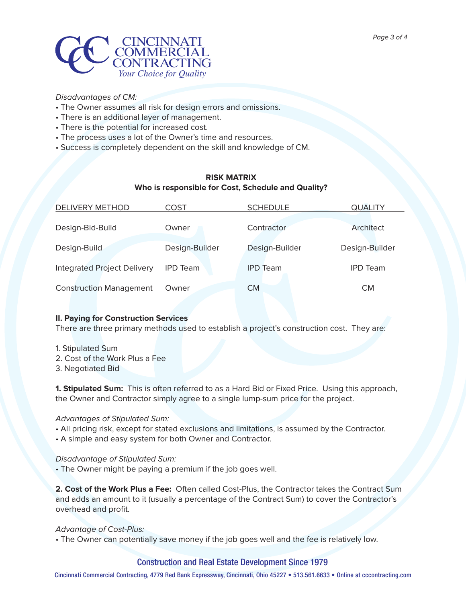

# Disadvantages of CM:

- The Owner assumes all risk for design errors and omissions.
- There is an additional layer of management.
- There is the potential for increased cost.
- The process uses a lot of the Owner's time and resources.
- Success is completely dependent on the skill and knowledge of CM.

# **RISK MATRIX Who is responsible for Cost, Schedule and Quality?**

| DELIVERY METHOD                    | COST            | <b>SCHEDULE</b> | <b>QUALITY</b>  |
|------------------------------------|-----------------|-----------------|-----------------|
| Design-Bid-Build                   | Owner           | Contractor      | Architect       |
| Design-Build                       | Design-Builder  | Design-Builder  | Design-Builder  |
| <b>Integrated Project Delivery</b> | <b>IPD Team</b> | <b>IPD</b> Team | <b>IPD Team</b> |
| <b>Construction Management</b>     | Owner           | <b>CM</b>       | <b>CM</b>       |

### **II. Paying for Construction Services**

There are three primary methods used to establish a project's construction cost. They are:

- 1. Stipulated Sum
- 2. Cost of the Work Plus a Fee
- 3. Negotiated Bid

**1. Stipulated Sum:** This is often referred to as a Hard Bid or Fixed Price. Using this approach, the Owner and Contractor simply agree to a single lump-sum price for the project.

### Advantages of Stipulated Sum:

- All pricing risk, except for stated exclusions and limitations, is assumed by the Contractor.
- A simple and easy system for both Owner and Contractor.

### Disadvantage of Stipulated Sum:

• The Owner might be paying a premium if the job goes well.

**2. Cost of the Work Plus a Fee:** Often called Cost-Plus, the Contractor takes the Contract Sum and adds an amount to it (usually a percentage of the Contract Sum) to cover the Contractor's overhead and profit.

### Advantage of Cost-Plus:

• The Owner can potentially save money if the job goes well and the fee is relatively low.

### Construction and Real Estate Development Since 1979

Cincinnati Commercial Contracting, 4779 Red Bank Expressway, Cincinnati, Ohio 45227 • 513.561.6633 • Online at cccontracting.com